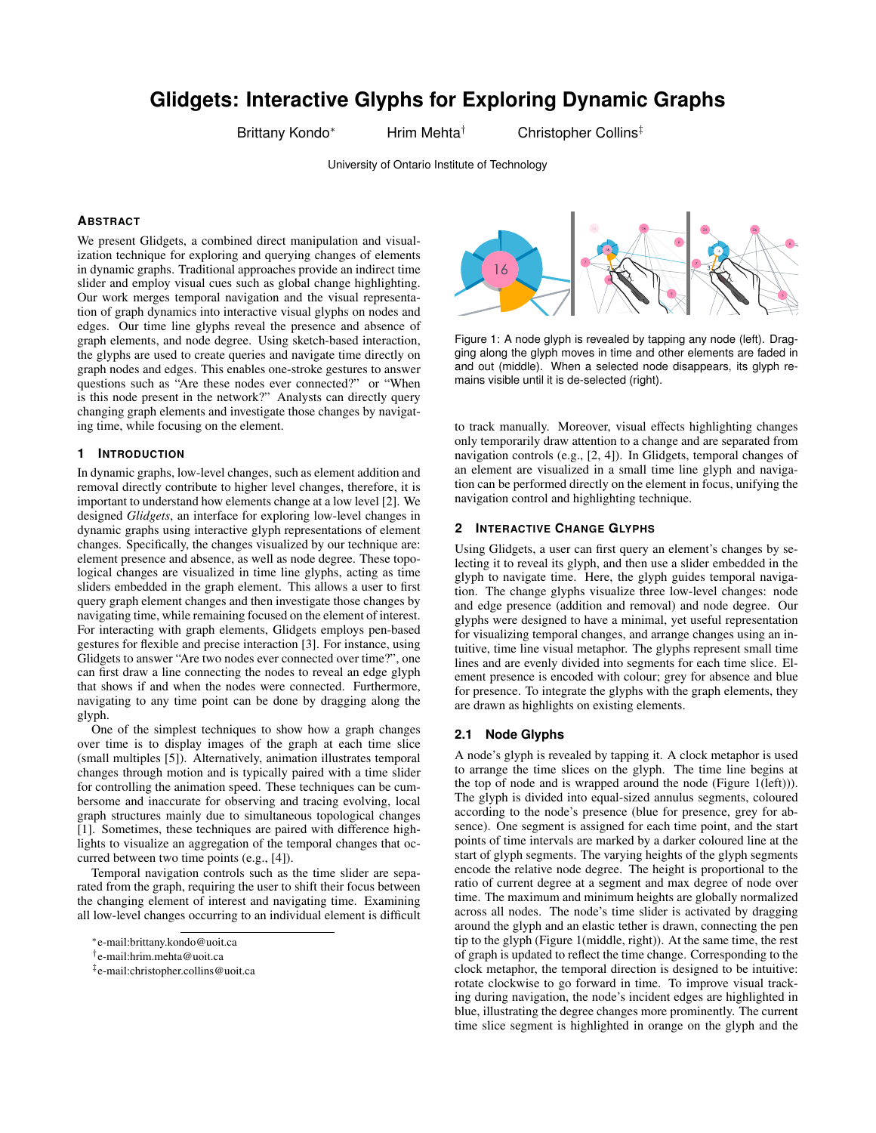# **Glidgets: Interactive Glyphs for Exploring Dynamic Graphs**

Brittany Kondo<sup>∗</sup> Hrim Mehta<sup>†</sup> Christopher Collins<sup>‡</sup>

University of Ontario Institute of Technology

#### **ABSTRACT**

We present Glidgets, a combined direct manipulation and visualization technique for exploring and querying changes of elements in dynamic graphs. Traditional approaches provide an indirect time slider and employ visual cues such as global change highlighting. Our work merges temporal navigation and the visual representation of graph dynamics into interactive visual glyphs on nodes and edges. Our time line glyphs reveal the presence and absence of graph elements, and node degree. Using sketch-based interaction, the glyphs are used to create queries and navigate time directly on graph nodes and edges. This enables one-stroke gestures to answer questions such as "Are these nodes ever connected?" or "When is this node present in the network?" Analysts can directly query changing graph elements and investigate those changes by navigating time, while focusing on the element.

#### **1 INTRODUCTION**

In dynamic graphs, low-level changes, such as element addition and removal directly contribute to higher level changes, therefore, it is important to understand how elements change at a low level [2]. We designed *Glidgets*, an interface for exploring low-level changes in dynamic graphs using interactive glyph representations of element changes. Specifically, the changes visualized by our technique are: element presence and absence, as well as node degree. These topological changes are visualized in time line glyphs, acting as time sliders embedded in the graph element. This allows a user to first query graph element changes and then investigate those changes by navigating time, while remaining focused on the element of interest. For interacting with graph elements, Glidgets employs pen-based gestures for flexible and precise interaction [3]. For instance, using Glidgets to answer "Are two nodes ever connected over time?", one can first draw a line connecting the nodes to reveal an edge glyph that shows if and when the nodes were connected. Furthermore, navigating to any time point can be done by dragging along the glyph.

One of the simplest techniques to show how a graph changes over time is to display images of the graph at each time slice (small multiples [5]). Alternatively, animation illustrates temporal changes through motion and is typically paired with a time slider for controlling the animation speed. These techniques can be cumbersome and inaccurate for observing and tracing evolving, local graph structures mainly due to simultaneous topological changes [1]. Sometimes, these techniques are paired with difference highlights to visualize an aggregation of the temporal changes that occurred between two time points (e.g., [4]).

Temporal navigation controls such as the time slider are separated from the graph, requiring the user to shift their focus between the changing element of interest and navigating time. Examining all low-level changes occurring to an individual element is difficult



Figure 1: A node glyph is revealed by tapping any node (left). Dragging along the glyph moves in time and other elements are faded in and out (middle). When a selected node disappears, its glyph remains visible until it is de-selected (right).

to track manually. Moreover, visual effects highlighting changes only temporarily draw attention to a change and are separated from navigation controls (e.g., [2, 4]). In Glidgets, temporal changes of an element are visualized in a small time line glyph and navigation can be performed directly on the element in focus, unifying the navigation control and highlighting technique.

#### **2 INTERACTIVE CHANGE GLYPHS**

Using Glidgets, a user can first query an element's changes by selecting it to reveal its glyph, and then use a slider embedded in the glyph to navigate time. Here, the glyph guides temporal navigation. The change glyphs visualize three low-level changes: node and edge presence (addition and removal) and node degree. Our glyphs were designed to have a minimal, yet useful representation for visualizing temporal changes, and arrange changes using an intuitive, time line visual metaphor. The glyphs represent small time lines and are evenly divided into segments for each time slice. Element presence is encoded with colour; grey for absence and blue for presence. To integrate the glyphs with the graph elements, they are drawn as highlights on existing elements.

## **2.1 Node Glyphs**

A node's glyph is revealed by tapping it. A clock metaphor is used to arrange the time slices on the glyph. The time line begins at the top of node and is wrapped around the node (Figure 1(left))). The glyph is divided into equal-sized annulus segments, coloured according to the node's presence (blue for presence, grey for absence). One segment is assigned for each time point, and the start points of time intervals are marked by a darker coloured line at the start of glyph segments. The varying heights of the glyph segments encode the relative node degree. The height is proportional to the ratio of current degree at a segment and max degree of node over time. The maximum and minimum heights are globally normalized across all nodes. The node's time slider is activated by dragging around the glyph and an elastic tether is drawn, connecting the pen tip to the glyph (Figure 1(middle, right)). At the same time, the rest of graph is updated to reflect the time change. Corresponding to the clock metaphor, the temporal direction is designed to be intuitive: rotate clockwise to go forward in time. To improve visual tracking during navigation, the node's incident edges are highlighted in blue, illustrating the degree changes more prominently. The current time slice segment is highlighted in orange on the glyph and the

<sup>∗</sup> e-mail:brittany.kondo@uoit.ca

<sup>†</sup> e-mail:hrim.mehta@uoit.ca

<sup>‡</sup> e-mail:christopher.collins@uoit.ca